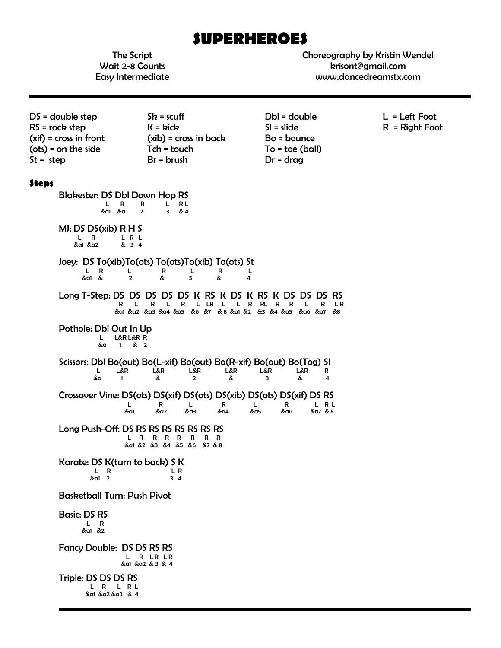# **SUPERHEROES**

The Script Wait 2-8 Counts Easy Intermediate Choreography by Kristin Wendel krisont@gmail.com www.dancedreamstx.com

DS = double step  $RS = rock$  step (xif) = cross in front (ots) = on the side  $St = step$  $Sk = scuff$  $K =$ kick (xib) = cross in back Tch = touch Br = brush Dbl = double Sl = slide Bo = bounce To = toe (ball) Dr = drag L = Left Foot R = Right Foot **Steps** Blakester: DS Dbl Down Hop RS<br>  $L$  R R L RL<br>  $\&$   $\&$  R  $\&$  R  $\&$  R  $\&$  R  $\&$  4 L R R L RL &a1 &a 2 3 & 4 MJ: DS DS(xib) R H S  $L$  R  $L$  R  $L$  &a1 &a2 & 3 4 Joey: DS To(xib)To(ots) To(ots)To(xib) To(ots) St L R L R L<br>2 & 3 & 4 &a1 & 2 & 3 & 4 Long T-Step: DS DS DS DS DS K RS K DS K RS K DS DS DS RS R L R L R L LR L L R RL R R L R L R &a1 &a2 &a3 &a4 &a5 &6 &7 & 8 &a1 &2 &3 &4 &a5 &a6 &a7 &8 Pothole: Dbl Out In Up L L&R L&R R &a 1 & 2 Scissors: Dbl Bo(out) Bo(L-xif) Bo(out) Bo(R-xif) Bo(out) Bo(Tog) SI<br>Ler Ler Ler Ler Ler Ler R L L&R L&R L&R L&R L&R L&R R &a 1 & 2 & 3 & 4 Crossover Vine: DS(ots) DS(xif) DS(ots) DS(xib) DS(ots) DS(xif) DS RS  $L$  R L R L R L R L R L R L R L R L &a1 &a2 &a3 &a4 &a5 &a6 &a7 & 8 Long Push-Off: DS RS RS RS RS RS RS RS L R R R R R R R &a1 &2 &3 &4 &5 &6 &7 & 8 Karate: DS K(turn to back) S K  $L \t R$  LR  $\frac{1}{2}$   $\frac{1}{3}$   $\frac{1}{4}$ Basketball Turn: Push Pivot Basic: DS RS L R &a1 &2 Fancy Double: DS DS RS RS L R LR LR &a1 &a2 & 3 & 4 Triple: DS DS DS RS L R L R L &a1 &a2 &a3 & 4